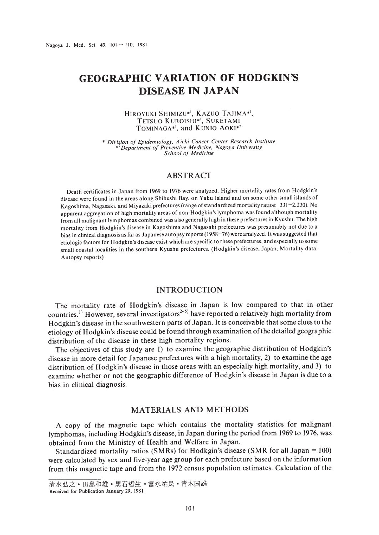# **GEOGRAPHIC VARIATION OF HODGKIN'S DISEASE IN JAPAN**

#### HIROYUKI SHIMIZU\*<sup>1</sup>, KAZUO TAJIMA\*<sup>1</sup>, TETSUO KUROISHI\*<sup>1</sup>, SUKETAMI TOMINAGA\*<sup>1</sup>, and KUNIO AOKI\*<sup>2</sup>

\*<sup>1</sup>Division of Epidemiology, Aichi Cancer Center Research Institute<br>\*<sup>2</sup>Department of Preventive Medicine, Nagoya University *School of Medicine*

## ABSTRACT

Death certificates in Japan from 1969 to 1976 were analyzed. Higher mortality rates from Hodgkin's disease were found in the areas along Shibushi Bay. on Yaku Island and on some other small islands of Kagoshima, Nagasaki, and Miyazaki prefectures (range of standardized mortality ratios: 331-2,230). No apparent aggregation of high mortality areas of non-Hodgkin's lymphoma was found although mortality from all malignant lymphomas combined was also generally high in these prefectures in Kyushu. The high mortality from Hodgkin's disease in Kagoshima and Nagasaki prefectures was presumably not due to a bias in clinical diagnosis as far as Japanese autopsy reports (1958-76) were analyzed. It wassuggested that etiologic factors for Hodgkin's disease exist which are specific to these prefectures, and especially to some small coastal localities in the southern Kyushu prefectures. (Hodgkin's disease. Japan. Mortality data. Autopsy reports)

## INTRODUCTION

The mortality rate of Hodgkin's disease in Japan is low compared to that in other countries.<sup>1)</sup> However, several investigators<sup> $2.5$ </sup>) have reported a relatively high mortality from Hodgkin's disease in the southwestern parts of Japan. It is conceivable that some clues to the etiology of Hodgkin's disease could be found through examination ofthe detailed geographic distribution of the disease in these high mortality regions.

The objectives of this study are I) to examine the geographic distribution of Hodgkin's disease in more detail for Japanese prefectures with a high mortality, 2) to examine the age distribution of Hodgkin's disease in those areas with an especially high mortality, and 3) to examine whether or not the geographic difference of Hodgkin's disease in Japan is due to a bias in clinical diagnosis.

# MATERIALS AND METHODS

A copy of the magnetic tape which contains the mortality statistics for malignant lymphomas, including Hodgkin's disease, in Japan during the period from 1969 to 1976, was obtained from the Ministry of Health and Welfare in Japan.

Standardized mortality ratios (SMRs) for Hodkgin's disease (SMR for all Japan = 100) were calculated by sex and five-year age group for each prefecture based on the information from this magnetic tape and from the 1972 census population estimates. Calculation of the

清水弘之·田島和雄·黒石哲生·富永祐民·青木国雄

Received for Publication January 29, 1981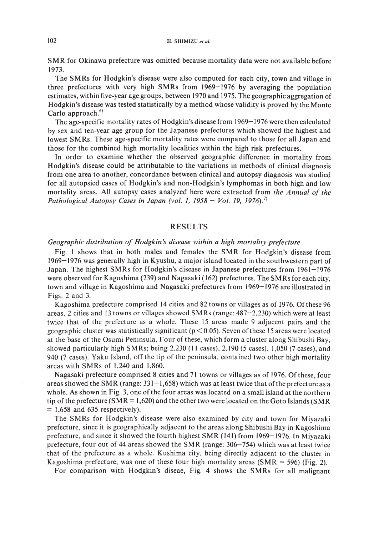#### 102 H. SHIMIZU *et al.*

SMR for Okinawa prefecture was omitted because mortality data were not available before 1973.

The SMRs for Hodgkin's disease were also computed for each city, town and village in three prefectures with very high SMRs from 1969-1976 by averaging the population estimates, within five-year age groups, between 1970 and 1975. The geographic aggregation of Hodgkin's disease was tested statistically by a method whose validity is proved by the Monte Carlo approach.<sup>6)</sup>

The age-specific mortality rates of Hodgkin's disease from 1969-1976 were then calculated by sex and ten-year age group for the Japanese prefectures which showed the highest and lowest SMRs. These age-specific mortality rates were compared to those for all Japan and those for the combined high mortality localities within the high risk prefectures.

In order to examine whether the observed geographic difference in mortality from Hodgkin's disease could be attributable to the variations in methods of clinical diagnosis from one area to another, concordance between clinical and autopsy diagnosis was studied for all autopsied cases of Hodgkin's and non-Hodgkin's lymphomas in both high and low mortality areas. All autopsy cases analyzed here were extracted from *the Annual of the Pathological Autopsy Cases in Japan (vol.* 1, 1958 - *Vol.* 19, 1976).7)

#### RESULTS

#### *Geographic distribution of Hodgkin s disease within <sup>a</sup> high mortality prefecture*

Fig. I shows that in both males and females the SMR for Hodgkin's disease from 1969-1976 was generally high in Kyushu, a major island located in the southwestern part of Japan. The highest SMRs for Hodgkin's disease in Japanese prefectures from 1961-1976 were observed for Kagoshima (239) and Nagasaki (162) prefectures. The SM Rs for each city, town and village in Kagoshima and Nagasaki prefectures from 1969-1976 are illustrated in Figs. 2 and 3.

Kagoshima prefecture comprised 14 cities and 82 towns or villages as of 1976. Of these 96 areas, 2 cities and 13 towns or villages showed SM Rs (range: 487-2,230) which were at least twice that of the prefecture as a whole. These 15 areas made 9 adjacent pairs and the geographic cluster was statistically significant ( $p < 0.05$ ). Seven of these 15 areas were located at the base of the Osumi Peninsula. Four of these, which form a cluster along Shibushi Bay, showed particularly high SMRs; being 2,230 (II cases), 2,190 (5 cases), 1,050 (7 cases), and 940 (7 cases). Yaku Island, off the tip of the peninsula, contained two other high mortality areas with SMRs of 1,240 and 1,860.

Nagasaki prefecture comprised 8 cities and 71 towns or villages as of 1976. Of these, four areas showed the SMR (range:  $331-1,658$ ) which was at least twice that of the prefecture as a whole. As shown in Fig. 3, one of the four areas was located on a small island at the northern tip of the prefecture (SMR = 1,620) and the other two were located on the Goto Islands (SMR  $= 1,658$  and 635 respectively).

The SMRs for Hodgkin's disease were also examined by city and town for Miyazaki prefecture, since it is geographically adjacent to the areas along Shibushi Bay in Kagoshima prefecture, and since it showed the fourth highest SMR (141) from 1969-1976. In Miyazaki prefecture, four out of 44 areas showed the SMR (range: 306-754) which was at least twice that of the prefecture as a whole. Kushima city, being directly adjacent to the cluster in Kagoshima prefecture, was one of these four high mortality areas  $(SMR = 596)$  (Fig. 2).

For comparison with Hodgkin's diseae, Fig. 4 shows the SMRs for all malignant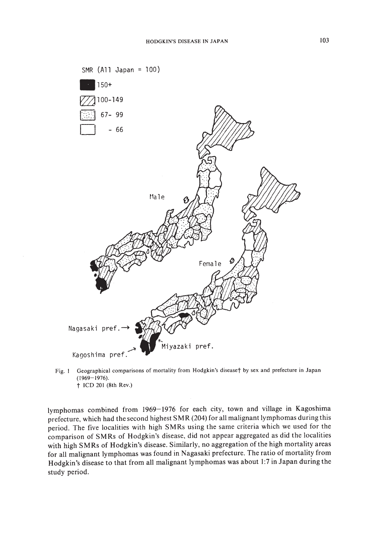

Fig. I Geographical comparisons of mortality from Hodgkin's diseaset by sex and prefecture in Japan (1969-1976). t ICD 201 (8th Rev.)

lymphomas combined from 1969-1976 for each city, town and village in Kagoshima prefecture, which had the second highest SM R (204) for all malignant lymphomas during this period. The five localities with high SM Rs using the same criteria which we used for the comparison of SMRs of Hodgkin's disease, did not appear aggregated as did the localities with high SMRs of Hodgkin's disease. Similarly, no aggregation of the high mortality areas for all malignant lymphomas was found in Nagasaki prefecture. The ratio of mortality from Hodgkin's disease to that from all malignant lymphomas was about 1:7 in Japan during the study period.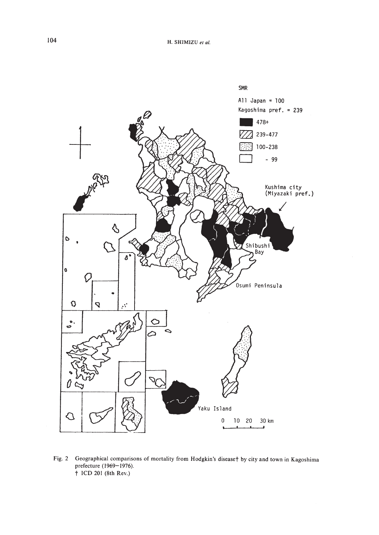

Fig. 2 Geographical comparisons of mortality from Hodgkin's disease† by city and town in Kagoshima prefecture (1969-1976). † ICD 201 (8th Rev.)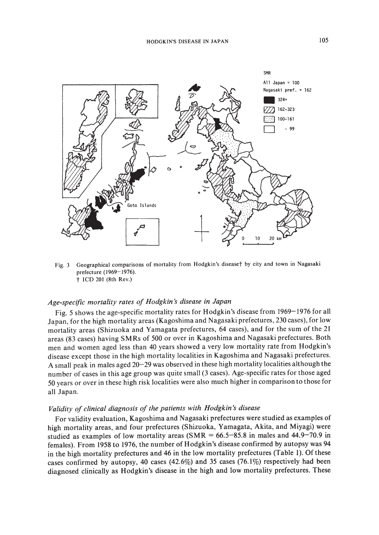

Fig. 3 Geographical comparisons of mortality from Hodgkin's disease† by city and town in Nagasaki prefecture (1969-1976).  $\dagger$  ICD 201 (8th Rev.)

#### *Age-specific mortality rates of Hodgkin s disease in Japan*

Fig. 5 shows the age-specific mortality rates for Hodgkin's disease from 1969-1976 for all Japan, for the high mortality areas (Kagoshima and Nagasaki prefectures, 230 cases), for low mortality areas (Shizuoka and Yamagata prefectures, 64 cases), and for the sum of the 21 areas (83 cases) having SM Rs of 500 or over in Kagoshima and Nagasaki prefectures. Both men and women aged less than 40 years showed a very low mortality rate from Hodgkin's disease except those in the high mortality localities in Kagoshima and Nagasaki prefectures. A small peak in males aged 20-29 was observed in these high mortality localities although the number of cases in this age group was quite small (3 cases). Age-specific rates for those aged 50 years or over in these high risk localities were also much higher in comparison to those for all Japan.

## *Validity of clinical diagnosis of the patients with Hodgkin:S disease*

For validity evaluation, Kagoshima and Nagasaki prefectures were studied as examples of high mortality areas, and four prefectures (Shizuoka, Yamagata, Akita, and Miyagi) were studied as examples of low mortality areas  $(SMR = 66.5-85.8$  in males and 44.9-70.9 in females). From 1958 to 1976, the number of Hodgkin's disease confirmed by autopsy was 94 in the high mortality prefectures and 46 in the low mortality prefectures (Table I). Of these cases confirmed by autopsy, 40 cases  $(42.6\%)$  and 35 cases  $(76.1\%)$  respectively had been diagnosed clinically as Hodgkin's disease in the high and low mortality prefectures. These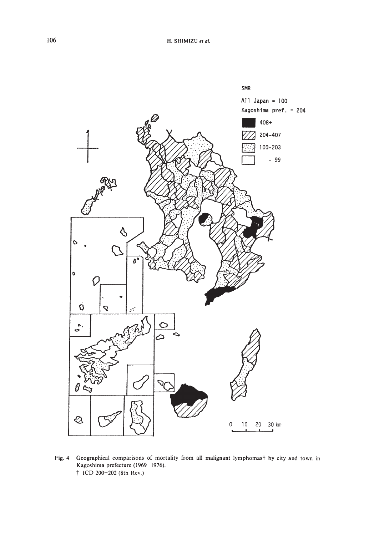

Geographical comparisons of mortality from all malignant lymphomas† by city and town in Fig. 4 Kagoshima prefecture (1969-1976). † ICD 200-202 (8th Rev.)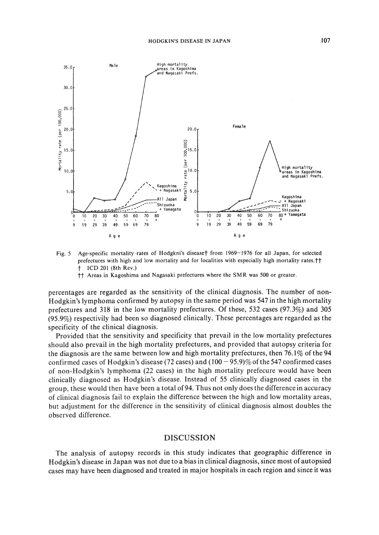

- Age-specific mortality rates of Hodgkni's disease† from 1969-1976 for all Japan, for selected Fig.  $5$ prefectures with high and low mortality and for localities with especially high mortality rates.<sup>†</sup>† † ICD 201 (8th Rev.)
	- †† Areas in Kagoshima and Nagasaki prefectures where the SMR was 500 or greater.

percentages are regarded as the sensitivity of the clinical diagnosis. The number of non-Hodgkin's lymphoma confirmed by autopsy in the same period was 547 in the high mortality prefectures and 318 in the low mortality prefectures. Of these, 532 cases (97.3%) and 305  $(95.9\%)$  respectivily had been so diagnosed clinically. These percentages are regarded as the specificity of the clinical diagnosis.

Provided that the sensitivity and specificity that prevail in the low mortality prefectures should also prevail in the high mortality prefectures, and provided that autopsy criteria for the diagnosis are the same between low and high mortality prefectures, then  $76.1\%$  of the 94 confirmed cases of Hodgkin's disease (72 cases) and  $(100 - 95.9)\%$  of the 547 confirmed cases of non-Hodgkin's lymphoma (22 cases) in the high mortality prefecure would have been clinically diagnosed as Hodgkin's disease. Instead of 55 clinically diagnosed cases in the group, these would then have been a total of 94. Thus not only does the difference in accuracy of clinical diagnosis fail to explain the difference between the high and low mortality areas, but adjustment for the difference in the sensitivity of clinical diagnosis almost doubles the observed difference.

#### **DISCUSSION**

The analysis of autopsy records in this study indicates that geographic difference in Hodgkin's disease in Japan was not due to a bias in clinical diagnosis, since most of autopsied cases may have been diagnosed and treated in major hospitals in each region and since it was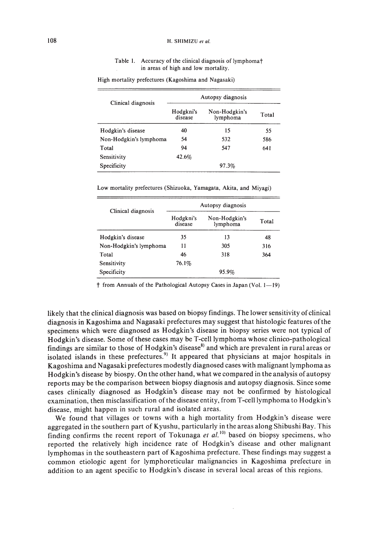#### 108 H. SHIMIZU *et al.*

#### Table I. Accuracy of the clinical diagnosis of lymphomat in areas of high and low mortality.

| Clinical diagnosis     | Autopsy diagnosis    |                           |       |
|------------------------|----------------------|---------------------------|-------|
|                        | Hodgkni's<br>disease | Non-Hodgkin's<br>lymphoma | Total |
| Hodgkin's disease      | 40                   | 15                        | 55    |
| Non-Hodgkin's lymphoma | 54                   | 532                       | 586   |
| Total                  | 94                   | 547                       | 641   |
| Sensitivity            | 42.6%                |                           |       |
| Specificity            |                      | 97.3%                     |       |

High mortality prefectures (Kagoshima and Nagasaki)

Low mortality prefectures (Shizuoka, Yamagata, Akita, and Miyagi)

| Clinical diagnosis     | Autopsy diagnosis    |                           |       |
|------------------------|----------------------|---------------------------|-------|
|                        | Hodgkni's<br>disease | Non-Hodgkin's<br>lymphoma | Total |
| Hodgkin's disease      | 35                   | 13                        | 48    |
| Non-Hodgkin's lymphoma | 11                   | 305                       | 316   |
| Total                  | 46                   | 318                       | 364   |
| Sensitivity            | 76.1%                |                           |       |
| Specificity            |                      | 95.9%                     |       |

† from Annuals of the Pathological Autopsy Cases in Japan (Vol. 1-19)

likely that the clinical diagnosis was based on biopsy findings. The lower sensitivity of clinical diagnosis in Kagoshima and Nagasaki prefectures may suggest that histologic features ofthe specimens which were diagnosed as Hodgkin's disease in biopsy series were not typical of Hodgkin's disease. Some of these cases may be T-cell lymphoma whose clinico-pathological findings are similar to those of Hodgkin's disease<sup>8)</sup> and which are prevalent in rural areas or isolated islands in these prefectures.<sup>9)</sup> It appeared that physicians at major hospitals in Kagoshima and Nagasaki prefectures modestly diagnosed cases with malignant lymphoma as Hodgkin's disease by biospy. On the other hand, what we compared in the analysis of autopsy reports may be the comparison between biopsy diagnosis and autopsy diagnosis. Since some cases clinically diagnosed as Hodgkin's disease may not be confirmed by histological examination, then misclassification ofthe disease entity, from T-cell lymphoma to Hodgkin's disease, might happen in such rural and isolated areas.

We found that villages or towns with a high mortality from Hodgkin's disease were aggregated in the southern part of Kyushu, particularly in the areas along Shibushi Bay. This finding confirms the recent report of Tokunaga et al.<sup>10</sup> based on biopsy specimens, who reported the relatively high incidence rate of Hodgkin's disease and other malignant lymphomas in the southeastern part of Kagoshima prefecture. These findings may suggest a common etiologic agent for lymphoreticular malignancies in Kagoshima prefecture in addition to an agent specific to Hodgkin's disease in several local areas of this regions.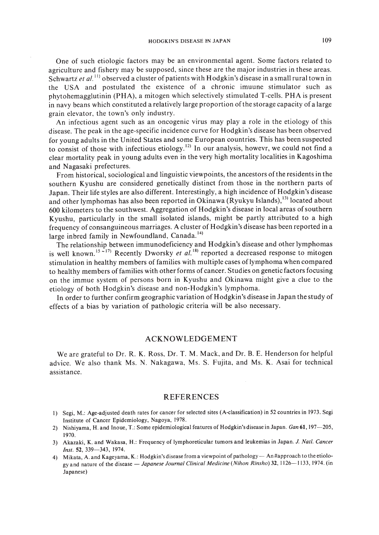One of such etiologic factors may be an environmental agent. Some factors related to agriculture and fishery may be supposed, since these are the major industries in these areas. Schwartz *et al.*<sup>11)</sup> observed a cluster of patients with Hodgkin's disease in a small rural town in the USA and postulated the existence of a chronic imuune stimulator such as phytohemagglutinin (PHA), a mitogen which selectively stimulated T-cells. PHA is present in navy beans which constituted a relatively large proportion ofthe storage capacity of a large grain elevator, the town's only industry.

An infectious agent such as an oncogenic virus may playa role in the etiology of this disease. The peak in the age-specific incidence curve for Hodgkin's disease has been observed for young adults in the United States and some European countries. This has been suspected to consist of those with infectious etiology.<sup>12)</sup> In our analysis, howevr, we could not find a clear mortality peak in young adults even in the very high mortality localities in Kagoshima and Nagasaki prefectures,

From historical, sociological and linguistic viewpoints, the ancestors ofthe residents in the southern Kyushu are considered genetically distinct from those in the northern parts of Japan. Their life styles are also different. Interestingly, a high incidence of Hodgkin's disease and other lymphomas has also been reported in Okinawa (Ryukyu Islands),<sup>13)</sup> located about 600 kilometers to the southwest. Aggregation of Hodgkin's disease in local areas ofsouthern Kyushu, particularly in the small isolated islands, might be partly attributed to a high frequency of consanguineous marriages. A cluster of Hodgkin's disease has been reported in a large inbred family in Newfoundland, Canada.<sup>14)</sup>

The relationship between immunodeficiency and Hodgkin's disease and other lymphomas is well known.<sup>15 ~17)</sup> Recently Dworsky *et al.*<sup>18)</sup> reported a decreased response to mitogen stimulation in healthy members of families with multiple cases oflymphoma when compared to healthy members of families with other forms of cancer. Studies on genetic factors focusing on the immue system of persons born in Kyushu and Okinawa might give a clue to the etiology of both Hodgkin's disease and non-Hodgkin's lymphoma.

In order to further confirm geographic variation of Hodgkin's disease in Japan the study of effects of a bias by variation of pathologic criteria will be also necessary.

#### ACKNOWLEDGEMENT

We are grateful to Dr. R. K. Ross, Dr. T. M. Mack, and Dr. B. E. Henderson for helpful advice. We also thank Ms. N. Nakagawa, Ms. S. Fujita, and Ms. K. Asai for technical assistance.

#### REFERENCES

- I) Segi, M.: Age-adjusted death rates for cancer for selected sites (A-classification) in 52 countries in 1973. Segi Institute of Cancer Epidemiology, Nagoya, 1978.
- 2) Nishiyama, H. and Inoue, T.: Some epidemiological features of Hodgkin's disease in Japan. *Gan* 61,197-205, 1970.
- 3) Akazaki, K. and Wakasa, H.: Frequency of Iymphoreticular tumors and leukemias in Japan. *J. NaIl. Cancer Inst.* 52, 339-343, 1974.
- 4) Mikata, A. and Kageyama, K.: Hodgkin's disease from a viewpoint of pathology An#approach to the etiologyand nature of the disease - *Japanese Journal Clinical Medicine (Nihon Rinsho)* 32, 1126-1133, 1974. (in Japanese)